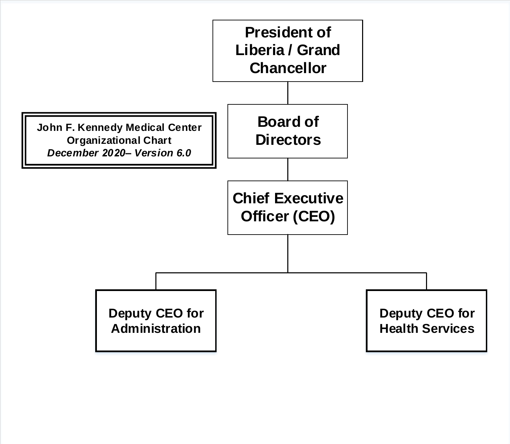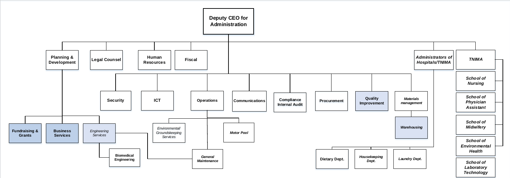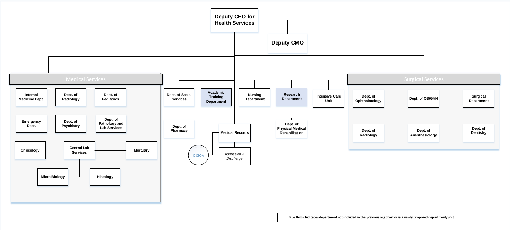